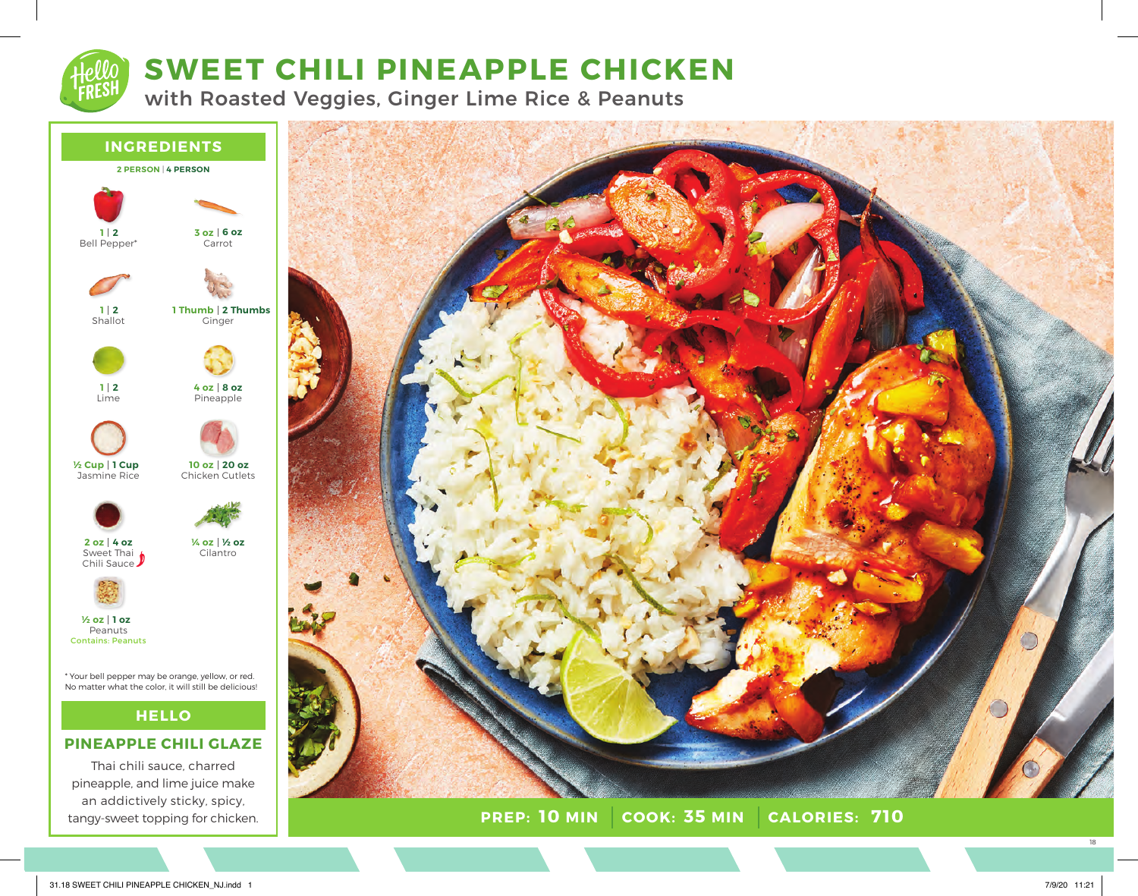# **SWEET CHILI PINEAPPLE CHICKEN**

with Roasted Veggies, Ginger Lime Rice & Peanuts





**PREP: 10 MIN COOK: 35 MIN 10 AIORIES: 710** 

18